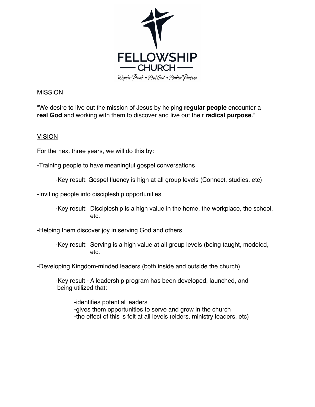

## MISSION

!We desire to live out the mission of Jesus by helping **regular people** encounter a **real God** and working with them to discover and live out their **radical purpose**."

## VISION

For the next three years, we will do this by:

-Training people to have meaningful gospel conversations

-Key result: Gospel fluency is high at all group levels (Connect, studies, etc)

-Inviting people into discipleship opportunities

-Key result: Discipleship is a high value in the home, the workplace, the school, etc.

-Helping them discover joy in serving God and others

-Key result: Serving is a high value at all group levels (being taught, modeled, etc.

-Developing Kingdom-minded leaders (both inside and outside the church)

-Key result - A leadership program has been developed, launched, and being utilized that:

-identifies potential leaders -gives them opportunities to serve and grow in the church -the effect of this is felt at all levels (elders, ministry leaders, etc)